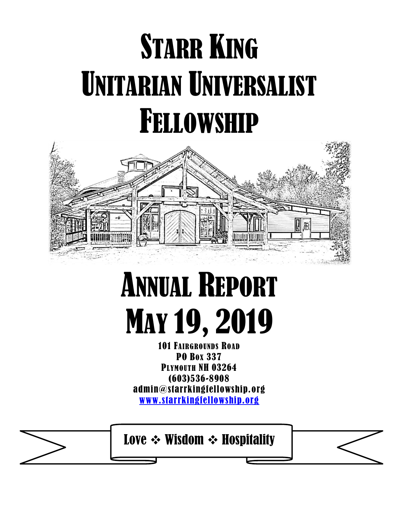## **STARR KING** UNITARIAN UNIVERSALIST FELLOWSHIP



## ANNUAL REPORT MAY 19, 2019

101 FAIRGROUNDS ROAD PO BOX 337 PLYMOUTH NH 03264 (603)536-8908 admin@starrkingfellowship.org [www.starrkingfellowship.org](http://www.starrkingfellowship.org/)

Love ❖ Wisdom ❖ Hospitality